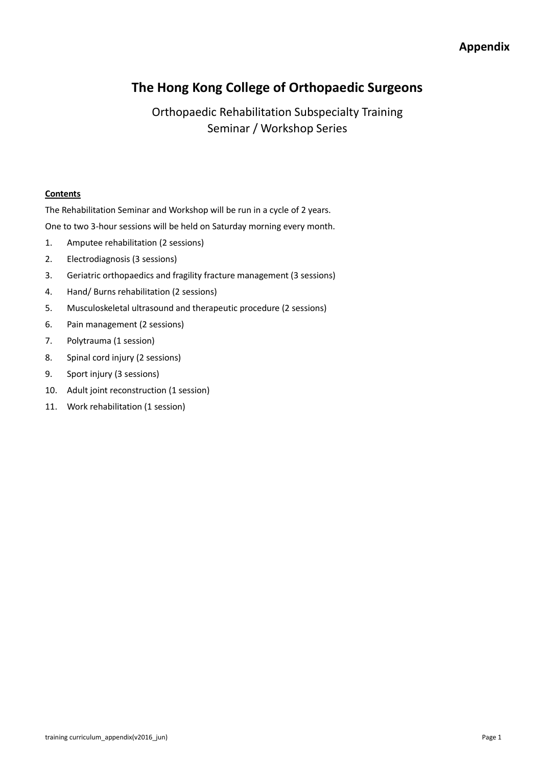# **The Hong Kong College of Orthopaedic Surgeons**

Orthopaedic Rehabilitation Subspecialty Training Seminar / Workshop Series

### **Contents**

The Rehabilitation Seminar and Workshop will be run in a cycle of 2 years.

One to two 3-hour sessions will be held on Saturday morning every month.

- 1. Amputee rehabilitation (2 sessions)
- 2. Electrodiagnosis (3 sessions)
- 3. Geriatric orthopaedics and fragility fracture management (3 sessions)
- 4. Hand/ Burns rehabilitation (2 sessions)
- 5. Musculoskeletal ultrasound and therapeutic procedure (2 sessions)
- 6. Pain management (2 sessions)
- 7. Polytrauma (1 session)
- 8. Spinal cord injury (2 sessions)
- 9. Sport injury (3 sessions)
- 10. Adult joint reconstruction (1 session)
- 11. Work rehabilitation (1 session)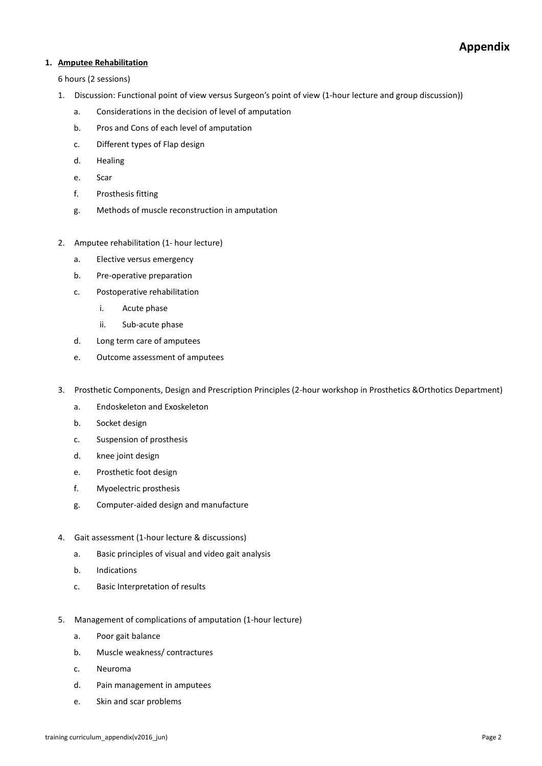### **1. Amputee Rehabilitation**

- 1. Discussion: Functional point of view versus Surgeon's point of view (1-hour lecture and group discussion))
	- a. Considerations in the decision of level of amputation
	- b. Pros and Cons of each level of amputation
	- c. Different types of Flap design
	- d. Healing
	- e. Scar
	- f. Prosthesis fitting
	- g. Methods of muscle reconstruction in amputation
- 2. Amputee rehabilitation (1- hour lecture)
	- a. Elective versus emergency
	- b. Pre-operative preparation
	- c. Postoperative rehabilitation
		- i. Acute phase
		- ii. Sub-acute phase
	- d. Long term care of amputees
	- e. Outcome assessment of amputees
- 3. Prosthetic Components, Design and Prescription Principles (2-hour workshop in Prosthetics &Orthotics Department)
	- a. Endoskeleton and Exoskeleton
	- b. Socket design
	- c. Suspension of prosthesis
	- d. knee joint design
	- e. Prosthetic foot design
	- f. Myoelectric prosthesis
	- g. Computer-aided design and manufacture
- 4. Gait assessment (1-hour lecture & discussions)
	- a. Basic principles of visual and video gait analysis
	- b. Indications
	- c. Basic Interpretation of results
- 5. Management of complications of amputation (1-hour lecture)
	- a. Poor gait balance
	- b. Muscle weakness/ contractures
	- c. Neuroma
	- d. Pain management in amputees
	- e. Skin and scar problems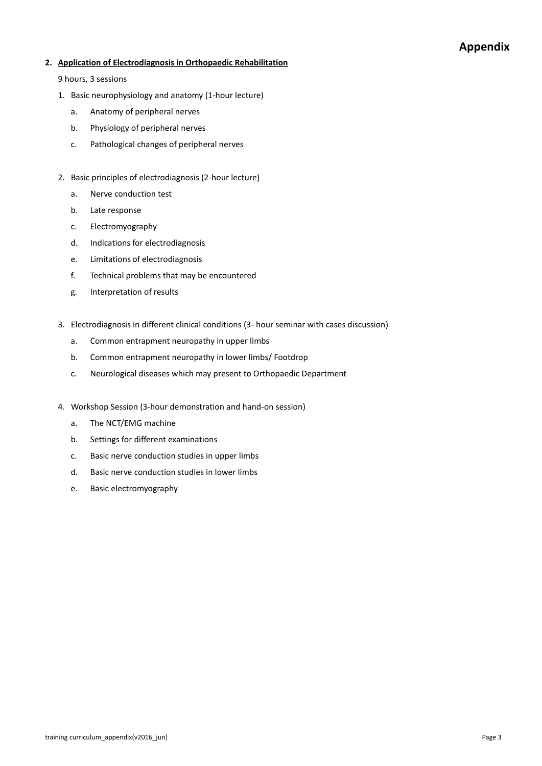#### **2. Application of Electrodiagnosis in Orthopaedic Rehabilitation**

- 1. Basic neurophysiology and anatomy (1-hour lecture)
	- a. Anatomy of peripheral nerves
	- b. Physiology of peripheral nerves
	- c. Pathological changes of peripheral nerves
- 2. Basic principles of electrodiagnosis (2-hour lecture)
	- a. Nerve conduction test
	- b. Late response
	- c. Electromyography
	- d. Indications for electrodiagnosis
	- e. Limitations of electrodiagnosis
	- f. Technical problems that may be encountered
	- g. Interpretation of results
- 3. Electrodiagnosis in different clinical conditions (3- hour seminar with cases discussion)
	- a. Common entrapment neuropathy in upper limbs
	- b. Common entrapment neuropathy in lower limbs/ Footdrop
	- c. Neurological diseases which may present to Orthopaedic Department
- 4. Workshop Session (3-hour demonstration and hand-on session)
	- a. The NCT/EMG machine
	- b. Settings for different examinations
	- c. Basic nerve conduction studies in upper limbs
	- d. Basic nerve conduction studies in lower limbs
	- e. Basic electromyography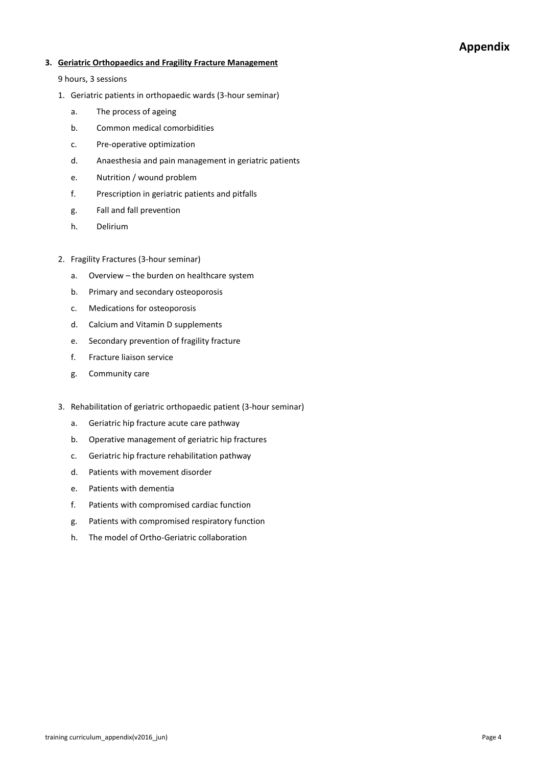#### **3. Geriatric Orthopaedics and Fragility Fracture Management**

- 1. Geriatric patients in orthopaedic wards (3-hour seminar)
	- a. The process of ageing
	- b. Common medical comorbidities
	- c. Pre-operative optimization
	- d. Anaesthesia and pain management in geriatric patients
	- e. Nutrition / wound problem
	- f. Prescription in geriatric patients and pitfalls
	- g. Fall and fall prevention
	- h. Delirium
- 2. Fragility Fractures (3-hour seminar)
	- a. Overview the burden on healthcare system
	- b. Primary and secondary osteoporosis
	- c. Medications for osteoporosis
	- d. Calcium and Vitamin D supplements
	- e. Secondary prevention of fragility fracture
	- f. Fracture liaison service
	- g. Community care
- 3. Rehabilitation of geriatric orthopaedic patient (3-hour seminar)
	- a. Geriatric hip fracture acute care pathway
	- b. Operative management of geriatric hip fractures
	- c. Geriatric hip fracture rehabilitation pathway
	- d. Patients with movement disorder
	- e. Patients with dementia
	- f. Patients with compromised cardiac function
	- g. Patients with compromised respiratory function
	- h. The model of Ortho-Geriatric collaboration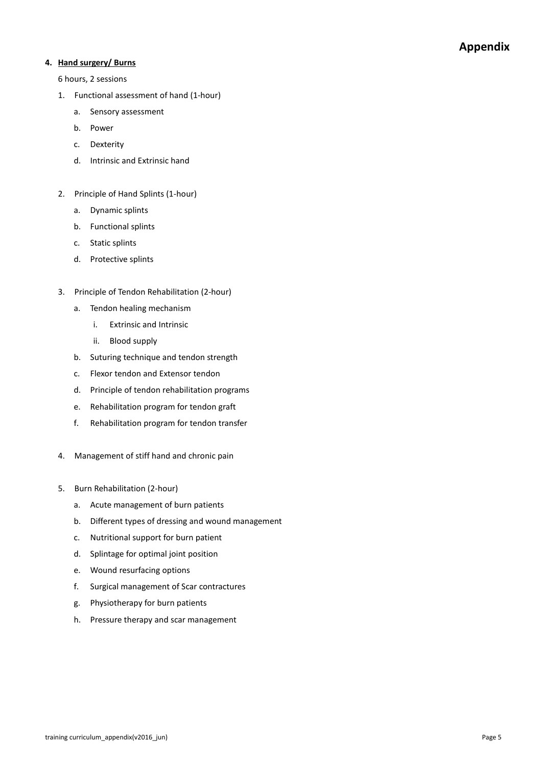### **4. Hand surgery/ Burns**

- 1. Functional assessment of hand (1-hour)
	- a. Sensory assessment
	- b. Power
	- c. Dexterity
	- d. Intrinsic and Extrinsic hand
- 2. Principle of Hand Splints (1-hour)
	- a. Dynamic splints
	- b. Functional splints
	- c. Static splints
	- d. Protective splints
- 3. Principle of Tendon Rehabilitation (2-hour)
	- a. Tendon healing mechanism
		- i. Extrinsic and Intrinsic
		- ii. Blood supply
	- b. Suturing technique and tendon strength
	- c. Flexor tendon and Extensor tendon
	- d. Principle of tendon rehabilitation programs
	- e. Rehabilitation program for tendon graft
	- f. Rehabilitation program for tendon transfer
- 4. Management of stiff hand and chronic pain
- 5. Burn Rehabilitation (2-hour)
	- a. Acute management of burn patients
	- b. Different types of dressing and wound management
	- c. Nutritional support for burn patient
	- d. Splintage for optimal joint position
	- e. Wound resurfacing options
	- f. Surgical management of Scar contractures
	- g. Physiotherapy for burn patients
	- h. Pressure therapy and scar management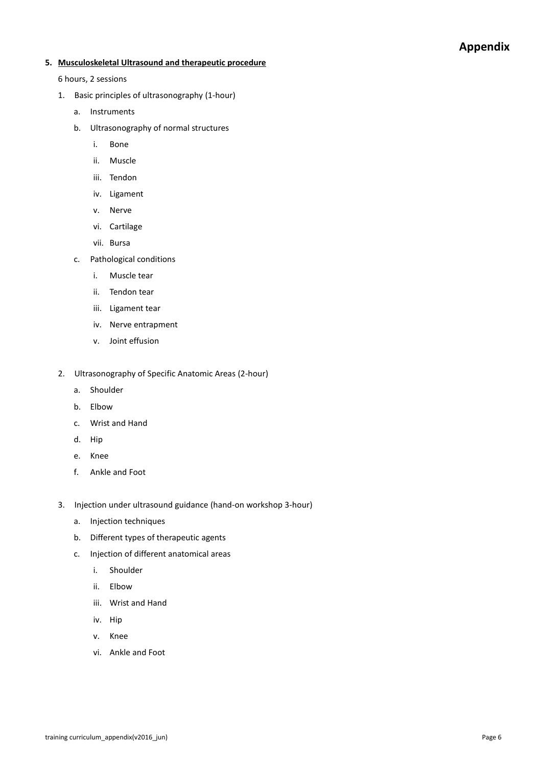### **5. Musculoskeletal Ultrasound and therapeutic procedure**

- 1. Basic principles of ultrasonography (1-hour)
	- a. Instruments
	- b. Ultrasonography of normal structures
		- i. Bone
		- ii. Muscle
		- iii. Tendon
		- iv. Ligament
		- v. Nerve
		- vi. Cartilage
		- vii. Bursa
	- c. Pathological conditions
		- i. Muscle tear
		- ii. Tendon tear
		- iii. Ligament tear
		- iv. Nerve entrapment
		- v. Joint effusion
- 2. Ultrasonography of Specific Anatomic Areas (2-hour)
	- a. Shoulder
	- b. Elbow
	- c. Wrist and Hand
	- d. Hip
	- e. Knee
	- f. Ankle and Foot
- 3. Injection under ultrasound guidance (hand-on workshop 3-hour)
	- a. Injection techniques
	- b. Different types of therapeutic agents
	- c. Injection of different anatomical areas
		- i. Shoulder
		- ii. Elbow
		- iii. Wrist and Hand
		- iv. Hip
		- v. Knee
		- vi. Ankle and Foot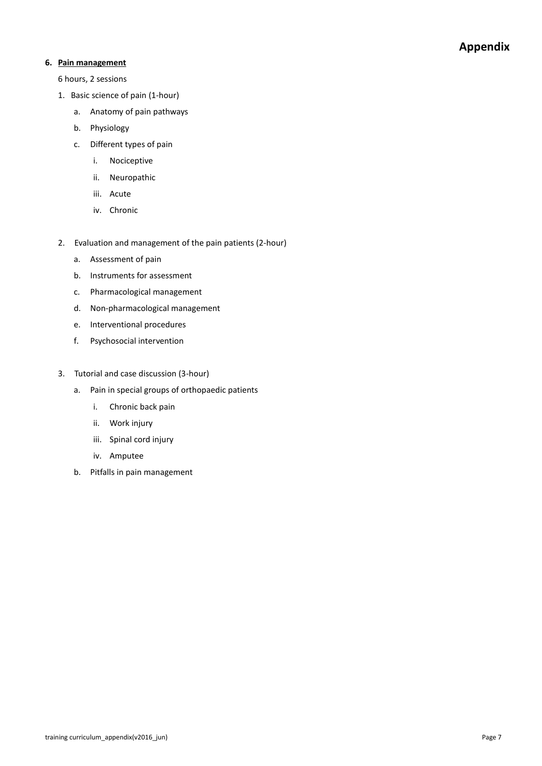#### **6. Pain management**

- 1. Basic science of pain (1-hour)
	- a. Anatomy of pain pathways
	- b. Physiology
	- c. Different types of pain
		- i. Nociceptive
		- ii. Neuropathic
		- iii. Acute
		- iv. Chronic
- 2. Evaluation and management of the pain patients (2-hour)
	- a. Assessment of pain
	- b. Instruments for assessment
	- c. Pharmacological management
	- d. Non-pharmacological management
	- e. Interventional procedures
	- f. Psychosocial intervention
- 3. Tutorial and case discussion (3-hour)
	- a. Pain in special groups of orthopaedic patients
		- i. Chronic back pain
		- ii. Work injury
		- iii. Spinal cord injury
		- iv. Amputee
	- b. Pitfalls in pain management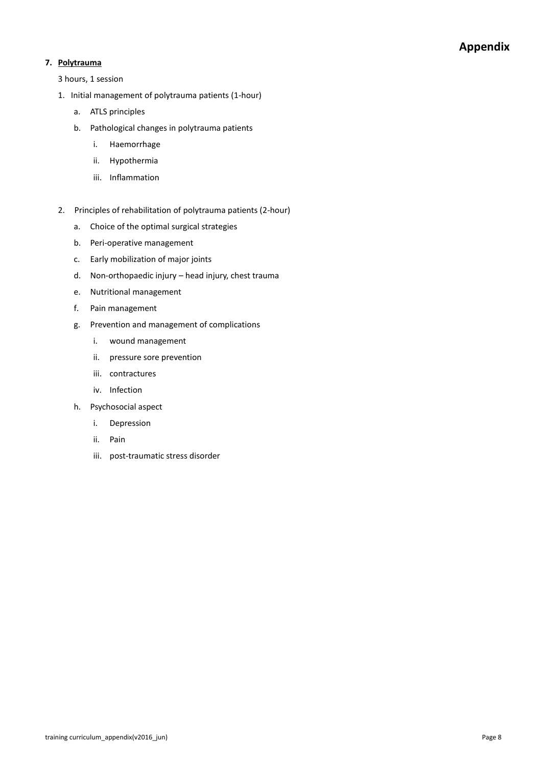### **7. Polytrauma**

- 1. Initial management of polytrauma patients (1-hour)
	- a. ATLS principles
	- b. Pathological changes in polytrauma patients
		- i. Haemorrhage
		- ii. Hypothermia
		- iii. Inflammation
- 2. Principles of rehabilitation of polytrauma patients (2-hour)
	- a. Choice of the optimal surgical strategies
	- b. Peri-operative management
	- c. Early mobilization of major joints
	- d. Non-orthopaedic injury head injury, chest trauma
	- e. Nutritional management
	- f. Pain management
	- g. Prevention and management of complications
		- i. wound management
		- ii. pressure sore prevention
		- iii. contractures
		- iv. Infection
	- h. Psychosocial aspect
		- i. Depression
		- ii. Pain
		- iii. post-traumatic stress disorder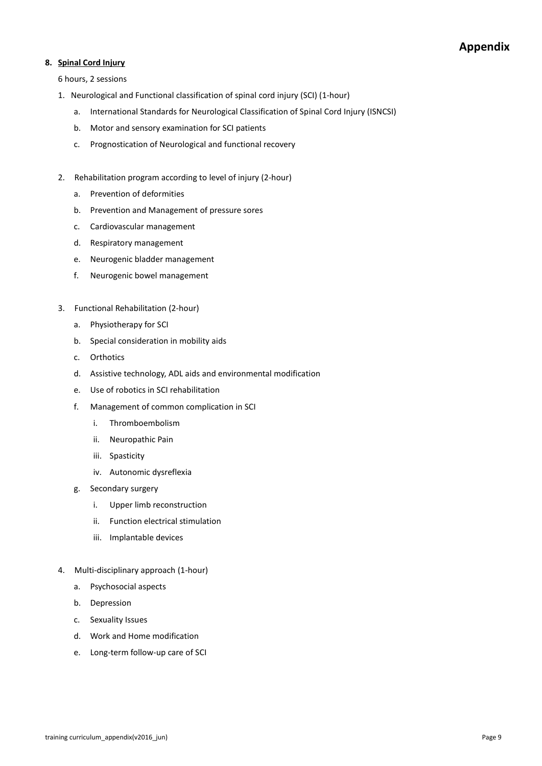#### **8. Spinal Cord Injury**

- 1. Neurological and Functional classification of spinal cord injury (SCI) (1-hour)
	- a. International Standards for Neurological Classification of Spinal Cord Injury (ISNCSI)
	- b. Motor and sensory examination for SCI patients
	- c. Prognostication of Neurological and functional recovery
- 2. Rehabilitation program according to level of injury (2-hour)
	- a. Prevention of deformities
	- b. Prevention and Management of pressure sores
	- c. Cardiovascular management
	- d. Respiratory management
	- e. Neurogenic bladder management
	- f. Neurogenic bowel management
- 3. Functional Rehabilitation (2-hour)
	- a. Physiotherapy for SCI
	- b. Special consideration in mobility aids
	- c. Orthotics
	- d. Assistive technology, ADL aids and environmental modification
	- e. Use of robotics in SCI rehabilitation
	- f. Management of common complication in SCI
		- i. Thromboembolism
		- ii. Neuropathic Pain
		- iii. Spasticity
		- iv. Autonomic dysreflexia
	- g. Secondary surgery
		- i. Upper limb reconstruction
		- ii. Function electrical stimulation
		- iii. Implantable devices
- 4. Multi-disciplinary approach (1-hour)
	- a. Psychosocial aspects
	- b. Depression
	- c. Sexuality Issues
	- d. Work and Home modification
	- e. Long-term follow-up care of SCI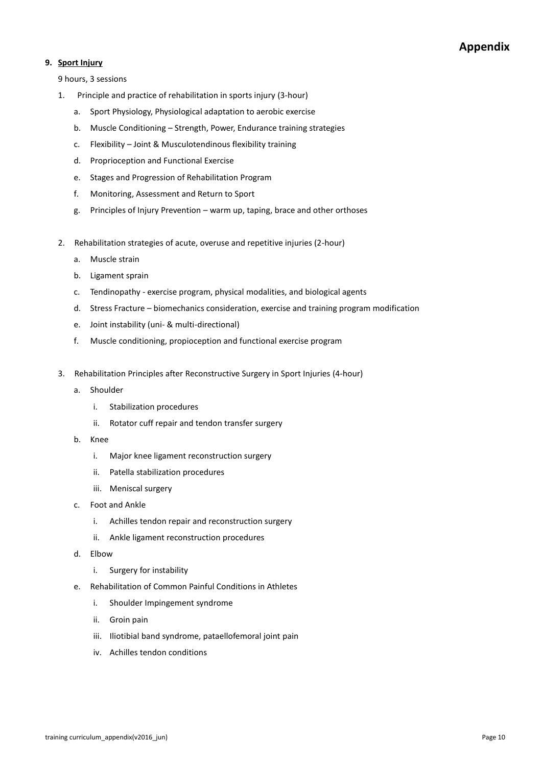### **9. Sport Injury**

- 1. Principle and practice of rehabilitation in sports injury (3-hour)
	- a. Sport Physiology, Physiological adaptation to aerobic exercise
	- b. Muscle Conditioning Strength, Power, Endurance training strategies
	- c. Flexibility Joint & Musculotendinous flexibility training
	- d. Proprioception and Functional Exercise
	- e. Stages and Progression of Rehabilitation Program
	- f. Monitoring, Assessment and Return to Sport
	- g. Principles of Injury Prevention warm up, taping, brace and other orthoses
- 2. Rehabilitation strategies of acute, overuse and repetitive injuries (2-hour)
	- a. Muscle strain
	- b. Ligament sprain
	- c. Tendinopathy exercise program, physical modalities, and biological agents
	- d. Stress Fracture biomechanics consideration, exercise and training program modification
	- e. Joint instability (uni- & multi-directional)
	- f. Muscle conditioning, propioception and functional exercise program
- 3. Rehabilitation Principles after Reconstructive Surgery in Sport Injuries (4-hour)
	- a. Shoulder
		- i. Stabilization procedures
		- ii. Rotator cuff repair and tendon transfer surgery
	- b. Knee
		- i. Major knee ligament reconstruction surgery
		- ii. Patella stabilization procedures
		- iii. Meniscal surgery
	- c. Foot and Ankle
		- i. Achilles tendon repair and reconstruction surgery
		- ii. Ankle ligament reconstruction procedures
	- d. Elbow
		- i. Surgery for instability
	- e. Rehabilitation of Common Painful Conditions in Athletes
		- i. Shoulder Impingement syndrome
		- ii. Groin pain
		- iii. Iliotibial band syndrome, pataellofemoral joint pain
		- iv. Achilles tendon conditions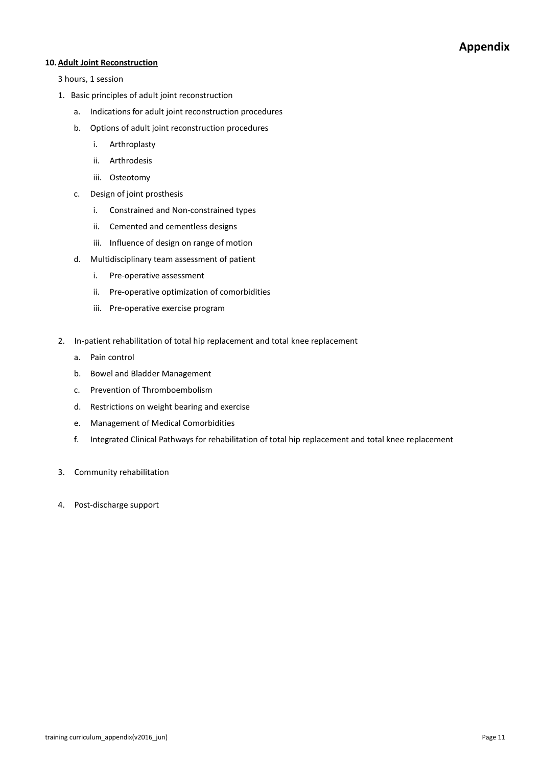#### **10.Adult Joint Reconstruction**

- 1. Basic principles of adult joint reconstruction
	- a. Indications for adult joint reconstruction procedures
	- b. Options of adult joint reconstruction procedures
		- i. Arthroplasty
		- ii. Arthrodesis
		- iii. Osteotomy
	- c. Design of joint prosthesis
		- i. Constrained and Non-constrained types
		- ii. Cemented and cementless designs
		- iii. Influence of design on range of motion
	- d. Multidisciplinary team assessment of patient
		- i. Pre-operative assessment
		- ii. Pre-operative optimization of comorbidities
		- iii. Pre-operative exercise program
- 2. In-patient rehabilitation of total hip replacement and total knee replacement
	- a. Pain control
	- b. Bowel and Bladder Management
	- c. Prevention of Thromboembolism
	- d. Restrictions on weight bearing and exercise
	- e. Management of Medical Comorbidities
	- f. Integrated Clinical Pathways for rehabilitation of total hip replacement and total knee replacement
- 3. Community rehabilitation
- 4. Post-discharge support